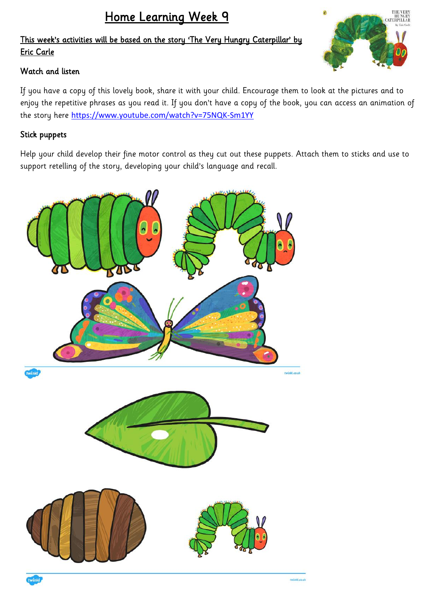# Home Learning Week 9

## This week's activities will be based on the story 'The Very Hungry Caterpillar' by Eric Carle

## Watch and listen

If you have a copy of this lovely book, share it with your child. Encourage them to look at the pictures and to enjoy the repetitive phrases as you read it. If you don't have a copy of the book, you can access an animation of the story here <https://www.youtube.com/watch?v=75NQK-Sm1YY>

## Stick puppets

Help your child develop their fine motor control as they cut out these puppets. Attach them to sticks and use to support retelling of the story, developing your child's language and recall.